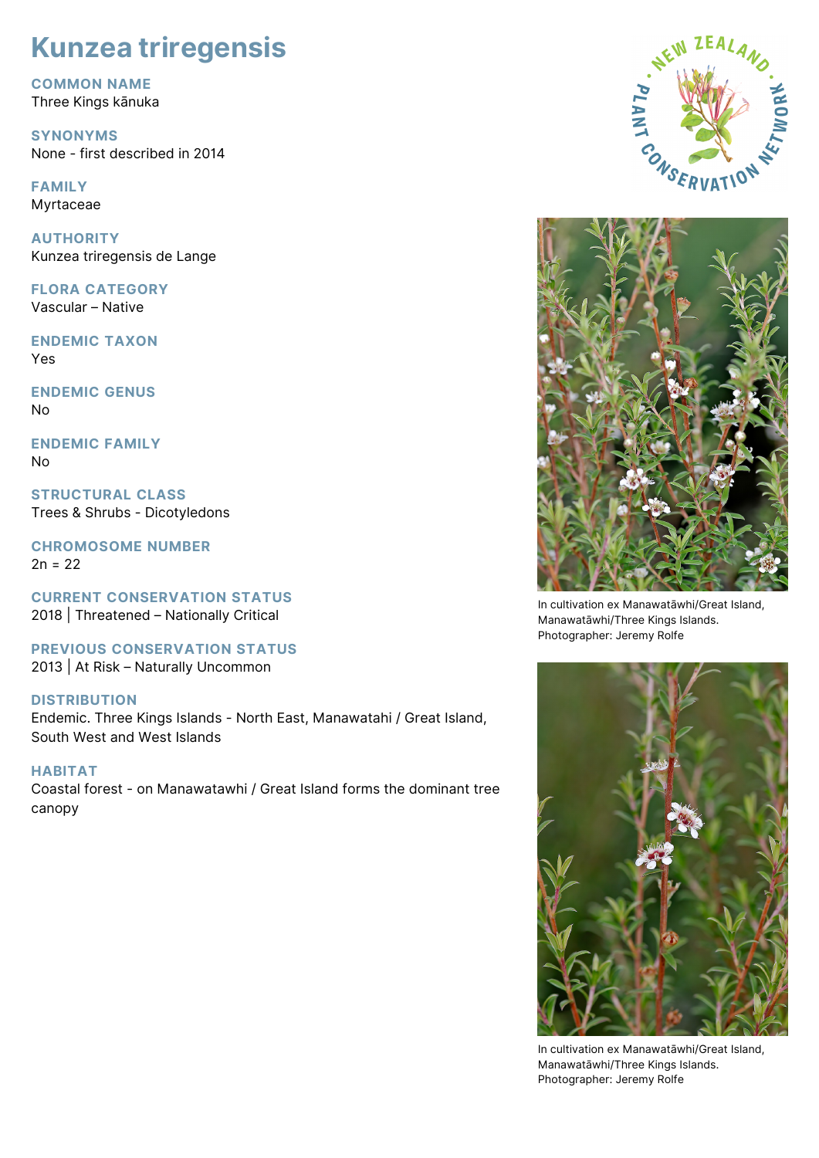# **Kunzea triregensis**

**COMMON NAME** Three Kings kānuka

**SYNONYMS** None - first described in 2014

**FAMILY** Myrtaceae

**AUTHORITY** Kunzea triregensis de Lange

**FLORA CATEGORY** Vascular – Native

**ENDEMIC TAXON** Yes

**ENDEMIC GENUS** No

**ENDEMIC FAMILY** No

**STRUCTURAL CLASS** Trees & Shrubs - Dicotyledons

**CHROMOSOME NUMBER**  $2n = 22$ 

**CURRENT CONSERVATION STATUS** 2018 | Threatened – Nationally Critical

**PREVIOUS CONSERVATION STATUS** 2013 | At Risk – Naturally Uncommon

# **DISTRIBUTION**

Endemic. Three Kings Islands - North East, Manawatahi / Great Island, South West and West Islands

**HABITAT** Coastal forest - on Manawatawhi / Great Island forms the dominant tree canopy





In cultivation ex Manawatāwhi/Great Island, Manawatāwhi/Three Kings Islands. Photographer: Jeremy Rolfe



In cultivation ex Manawatāwhi/Great Island, Manawatāwhi/Three Kings Islands. Photographer: Jeremy Rolfe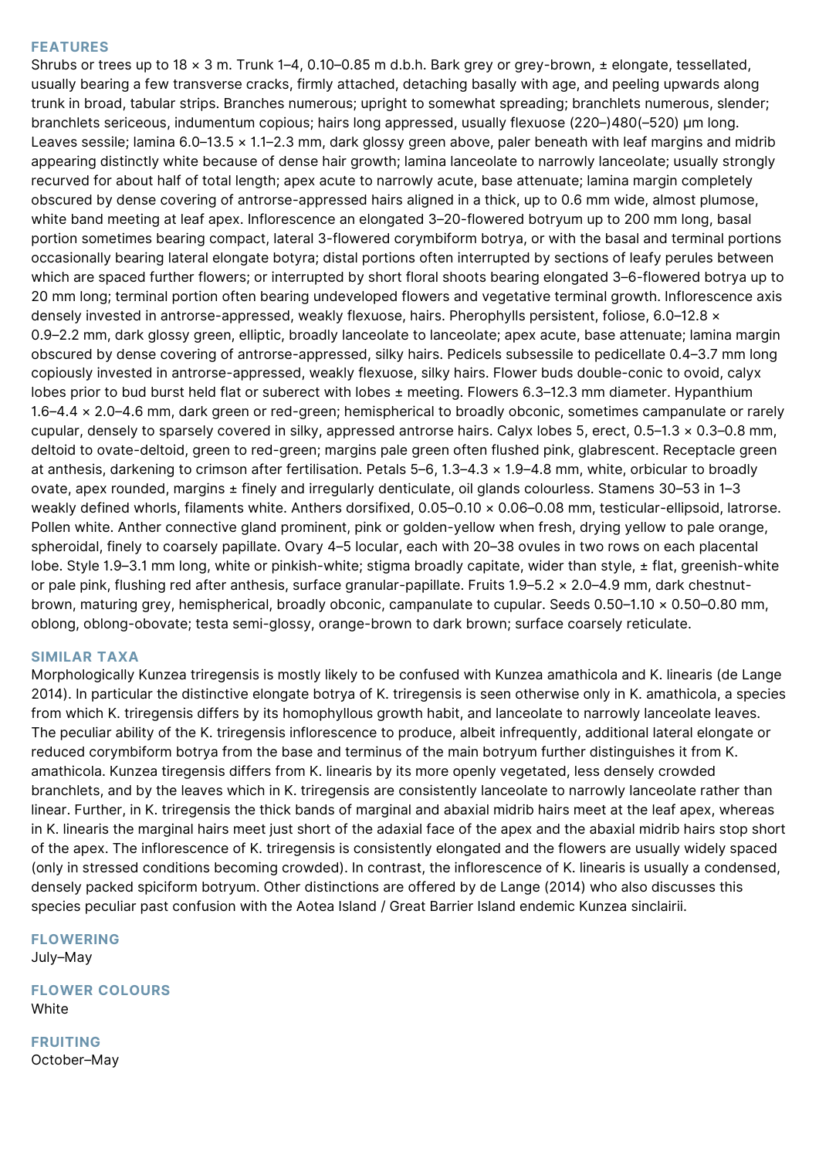#### **FEATURES**

Shrubs or trees up to 18 × 3 m. Trunk 1–4, 0.10–0.85 m d.b.h. Bark grey or grey-brown, ± elongate, tessellated, usually bearing a few transverse cracks, firmly attached, detaching basally with age, and peeling upwards along trunk in broad, tabular strips. Branches numerous; upright to somewhat spreading; branchlets numerous, slender; branchlets sericeous, indumentum copious; hairs long appressed, usually flexuose (220–)480(–520) μm long. Leaves sessile; lamina 6.0–13.5 x 1.1–2.3 mm, dark glossy green above, paler beneath with leaf margins and midrib appearing distinctly white because of dense hair growth; lamina lanceolate to narrowly lanceolate; usually strongly recurved for about half of total length; apex acute to narrowly acute, base attenuate; lamina margin completely obscured by dense covering of antrorse-appressed hairs aligned in a thick, up to 0.6 mm wide, almost plumose, white band meeting at leaf apex. Inflorescence an elongated 3–20-flowered botryum up to 200 mm long, basal portion sometimes bearing compact, lateral 3-flowered corymbiform botrya, or with the basal and terminal portions occasionally bearing lateral elongate botyra; distal portions often interrupted by sections of leafy perules between which are spaced further flowers; or interrupted by short floral shoots bearing elongated 3–6-flowered botrya up to 20 mm long; terminal portion often bearing undeveloped flowers and vegetative terminal growth. Inflorescence axis densely invested in antrorse-appressed, weakly flexuose, hairs. Pherophylls persistent, foliose, 6.0–12.8 × 0.9–2.2 mm, dark glossy green, elliptic, broadly lanceolate to lanceolate; apex acute, base attenuate; lamina margin obscured by dense covering of antrorse-appressed, silky hairs. Pedicels subsessile to pedicellate 0.4–3.7 mm long copiously invested in antrorse-appressed, weakly flexuose, silky hairs. Flower buds double-conic to ovoid, calyx lobes prior to bud burst held flat or suberect with lobes ± meeting. Flowers 6.3–12.3 mm diameter. Hypanthium 1.6–4.4 × 2.0–4.6 mm, dark green or red-green; hemispherical to broadly obconic, sometimes campanulate or rarely cupular, densely to sparsely covered in silky, appressed antrorse hairs. Calyx lobes 5, erect, 0.5–1.3 × 0.3–0.8 mm, deltoid to ovate-deltoid, green to red-green; margins pale green often flushed pink, glabrescent. Receptacle green at anthesis, darkening to crimson after fertilisation. Petals 5–6, 1.3–4.3 × 1.9–4.8 mm, white, orbicular to broadly ovate, apex rounded, margins ± finely and irregularly denticulate, oil glands colourless. Stamens 30–53 in 1–3 weakly defined whorls, filaments white. Anthers dorsifixed, 0.05–0.10 × 0.06–0.08 mm, testicular-ellipsoid, latrorse. Pollen white. Anther connective gland prominent, pink or golden-yellow when fresh, drying yellow to pale orange, spheroidal, finely to coarsely papillate. Ovary 4–5 locular, each with 20–38 ovules in two rows on each placental lobe. Style 1.9–3.1 mm long, white or pinkish-white; stigma broadly capitate, wider than style, ± flat, greenish-white or pale pink, flushing red after anthesis, surface granular-papillate. Fruits 1.9–5.2 × 2.0–4.9 mm, dark chestnutbrown, maturing grey, hemispherical, broadly obconic, campanulate to cupular. Seeds 0.50–1.10 × 0.50–0.80 mm, oblong, oblong-obovate; testa semi-glossy, orange-brown to dark brown; surface coarsely reticulate.

#### **SIMILAR TAXA**

Morphologically Kunzea triregensis is mostly likely to be confused with Kunzea amathicola and K. linearis (de Lange 2014). In particular the distinctive elongate botrya of K. triregensis is seen otherwise only in K. amathicola, a species from which K. triregensis differs by its homophyllous growth habit, and lanceolate to narrowly lanceolate leaves. The peculiar ability of the K. triregensis inflorescence to produce, albeit infrequently, additional lateral elongate or reduced corymbiform botrya from the base and terminus of the main botryum further distinguishes it from K. amathicola. Kunzea tiregensis differs from K. linearis by its more openly vegetated, less densely crowded branchlets, and by the leaves which in K. triregensis are consistently lanceolate to narrowly lanceolate rather than linear. Further, in K. triregensis the thick bands of marginal and abaxial midrib hairs meet at the leaf apex, whereas in K. linearis the marginal hairs meet just short of the adaxial face of the apex and the abaxial midrib hairs stop short of the apex. The inflorescence of K. triregensis is consistently elongated and the flowers are usually widely spaced (only in stressed conditions becoming crowded). In contrast, the inflorescence of K. linearis is usually a condensed, densely packed spiciform botryum. Other distinctions are offered by de Lange (2014) who also discusses this species peculiar past confusion with the Aotea Island / Great Barrier Island endemic Kunzea sinclairii.

**FLOWERING** July–May

**FLOWER COLOURS** White

**FRUITING** October–May